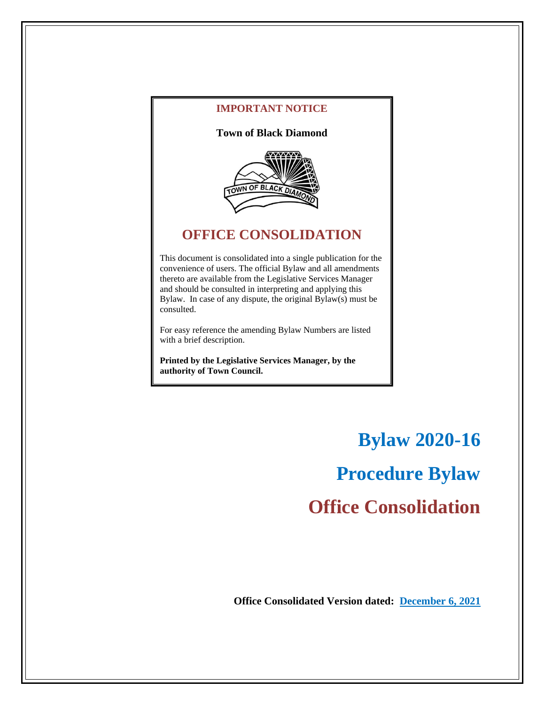

**IMPORTANT NOTICE**

# **OFFICE CONSOLIDATION**

This document is consolidated into a single publication for the convenience of users. The official Bylaw and all amendments thereto are available from the Legislative Services Manager and should be consulted in interpreting and applying this Bylaw. In case of any dispute, the original Bylaw(s) must be consulted.

For easy reference the amending Bylaw Numbers are listed with a brief description.

**Printed by the Legislative Services Manager, by the authority of Town Council.**

> **Bylaw 2020-16 Procedure Bylaw Office Consolidation**

**Office Consolidated Version dated: December 6, 2021**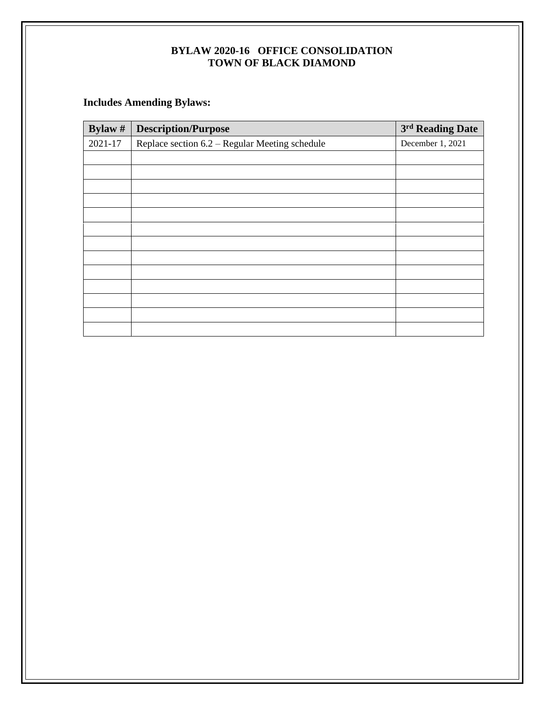## **Includes Amending Bylaws:**

| Bylaw $#$ | <b>Description/Purpose</b>                     | 3rd Reading Date |
|-----------|------------------------------------------------|------------------|
| 2021-17   | Replace section 6.2 – Regular Meeting schedule | December 1, 2021 |
|           |                                                |                  |
|           |                                                |                  |
|           |                                                |                  |
|           |                                                |                  |
|           |                                                |                  |
|           |                                                |                  |
|           |                                                |                  |
|           |                                                |                  |
|           |                                                |                  |
|           |                                                |                  |
|           |                                                |                  |
|           |                                                |                  |
|           |                                                |                  |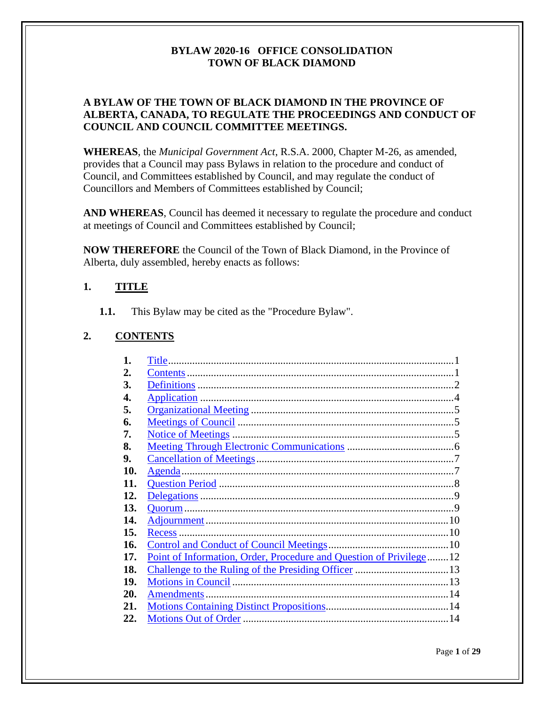## **A BYLAW OF THE TOWN OF BLACK DIAMOND IN THE PROVINCE OF ALBERTA, CANADA, TO REGULATE THE PROCEEDINGS AND CONDUCT OF COUNCIL AND COUNCIL COMMITTEE MEETINGS.**

**WHEREAS**, the *Municipal Government Act*, R.S.A. 2000, Chapter M-26, as amended, provides that a Council may pass Bylaws in relation to the procedure and conduct of Council, and Committees established by Council, and may regulate the conduct of Councillors and Members of Committees established by Council;

**AND WHEREAS**, Council has deemed it necessary to regulate the procedure and conduct at meetings of Council and Committees established by Council;

**NOW THEREFORE** the Council of the Town of Black Diamond, in the Province of Alberta, duly assembled, hereby enacts as follows:

#### <span id="page-2-0"></span>**1. TITLE**

**1.1.** This Bylaw may be cited as the "Procedure Bylaw".

#### <span id="page-2-1"></span>**2. CONTENTS**

| 1.  | Title.                                                              |  |
|-----|---------------------------------------------------------------------|--|
| 2.  |                                                                     |  |
| 3.  |                                                                     |  |
| 4.  |                                                                     |  |
| 5.  |                                                                     |  |
| 6.  |                                                                     |  |
| 7.  |                                                                     |  |
| 8.  |                                                                     |  |
| 9.  |                                                                     |  |
| 10. | Agenda.                                                             |  |
| 11. |                                                                     |  |
| 12. |                                                                     |  |
| 13. |                                                                     |  |
| 14. |                                                                     |  |
| 15. | Recess.                                                             |  |
| 16. |                                                                     |  |
| 17. | Point of Information, Order, Procedure and Question of Privilege 12 |  |
| 18. |                                                                     |  |
| 19. |                                                                     |  |
| 20. | <b>Amendments</b>                                                   |  |
| 21. |                                                                     |  |
| 22. |                                                                     |  |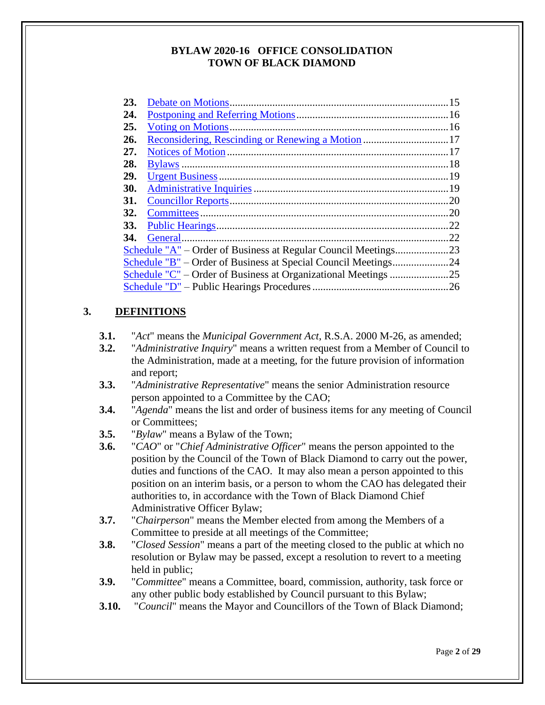| .20                                                                |
|--------------------------------------------------------------------|
|                                                                    |
| .22                                                                |
| 22                                                                 |
|                                                                    |
|                                                                    |
| Schedule "C" – Order of Business at Organizational Meetings<br>.25 |
| .26                                                                |
|                                                                    |

#### <span id="page-3-0"></span>**3. DEFINITIONS**

- **3.1.** "*Act*" means the *Municipal Government Act*, R.S.A. 2000 M-26, as amended;
- **3.2.** "*Administrative Inquiry*" means a written request from a Member of Council to the Administration, made at a meeting, for the future provision of information and report;
- **3.3.** "*Administrative Representative*" means the senior Administration resource person appointed to a Committee by the CAO;
- **3.4.** "*Agenda*" means the list and order of business items for any meeting of Council or Committees;
- **3.5.** "*Bylaw*" means a Bylaw of the Town;
- **3.6.** "*CAO*" or "*Chief Administrative Officer*" means the person appointed to the position by the Council of the Town of Black Diamond to carry out the power, duties and functions of the CAO. It may also mean a person appointed to this position on an interim basis, or a person to whom the CAO has delegated their authorities to, in accordance with the Town of Black Diamond Chief Administrative Officer Bylaw;
- **3.7.** "*Chairperson*" means the Member elected from among the Members of a Committee to preside at all meetings of the Committee;
- **3.8.** "*Closed Session*" means a part of the meeting closed to the public at which no resolution or Bylaw may be passed, except a resolution to revert to a meeting held in public;
- **3.9.** "*Committee*" means a Committee, board, commission, authority, task force or any other public body established by Council pursuant to this Bylaw;
- **3.10.** "*Council*" means the Mayor and Councillors of the Town of Black Diamond;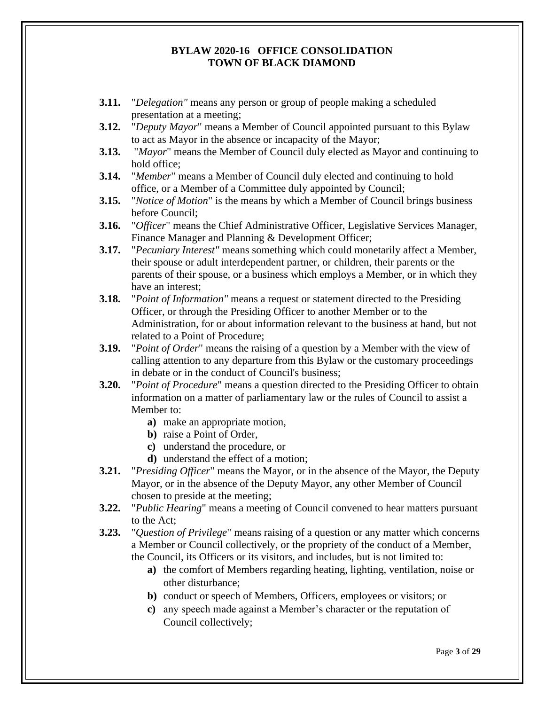- **3.11.** "*Delegation"* means any person or group of people making a scheduled presentation at a meeting;
- **3.12.** "*Deputy Mayor*" means a Member of Council appointed pursuant to this Bylaw to act as Mayor in the absence or incapacity of the Mayor;
- **3.13.** "*Mayor*" means the Member of Council duly elected as Mayor and continuing to hold office;
- **3.14.** "*Member*" means a Member of Council duly elected and continuing to hold office, or a Member of a Committee duly appointed by Council;
- **3.15.** "*Notice of Motion*" is the means by which a Member of Council brings business before Council;
- **3.16.** "*Officer*" means the Chief Administrative Officer, Legislative Services Manager, Finance Manager and Planning & Development Officer;
- **3.17.** "*Pecuniary Interest"* means something which could monetarily affect a Member, their spouse or adult interdependent partner, or children, their parents or the parents of their spouse, or a business which employs a Member, or in which they have an interest;
- **3.18.** "*Point of Information"* means a request or statement directed to the Presiding Officer, or through the Presiding Officer to another Member or to the Administration, for or about information relevant to the business at hand, but not related to a Point of Procedure;
- **3.19.** "*Point of Order*" means the raising of a question by a Member with the view of calling attention to any departure from this Bylaw or the customary proceedings in debate or in the conduct of Council's business;
- **3.20.** "*Point of Procedure*" means a question directed to the Presiding Officer to obtain information on a matter of parliamentary law or the rules of Council to assist a Member to:
	- **a)** make an appropriate motion,
	- **b)** raise a Point of Order,
	- **c)** understand the procedure, or
	- **d)** understand the effect of a motion;
- **3.21.** "*Presiding Officer*" means the Mayor, or in the absence of the Mayor, the Deputy Mayor, or in the absence of the Deputy Mayor, any other Member of Council chosen to preside at the meeting;
- **3.22.** "*Public Hearing*" means a meeting of Council convened to hear matters pursuant to the Act;
- **3.23.** "*Question of Privilege*" means raising of a question or any matter which concerns a Member or Council collectively, or the propriety of the conduct of a Member, the Council, its Officers or its visitors, and includes, but is not limited to:
	- **a)** the comfort of Members regarding heating, lighting, ventilation, noise or other disturbance;
	- **b)** conduct or speech of Members, Officers, employees or visitors; or
	- **c)** any speech made against a Member's character or the reputation of Council collectively;

Page **3** of **29**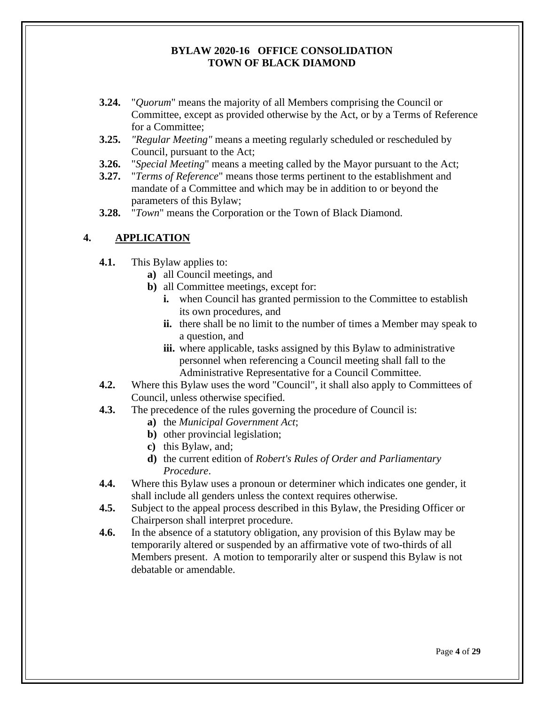- **3.24.** "*Quorum*" means the majority of all Members comprising the Council or Committee, except as provided otherwise by the Act, or by a Terms of Reference for a Committee;
- **3.25.** *"Regular Meeting"* means a meeting regularly scheduled or rescheduled by Council, pursuant to the Act;
- **3.26.** "*Special Meeting*" means a meeting called by the Mayor pursuant to the Act;
- **3.27.** "*Terms of Reference*" means those terms pertinent to the establishment and mandate of a Committee and which may be in addition to or beyond the parameters of this Bylaw;
- **3.28.** "*Town*" means the Corporation or the Town of Black Diamond.

## <span id="page-5-0"></span>**4. APPLICATION**

- **4.1.** This Bylaw applies to:
	- **a)** all Council meetings, and
	- **b)** all Committee meetings, except for:
		- **i.** when Council has granted permission to the Committee to establish its own procedures, and
		- **ii.** there shall be no limit to the number of times a Member may speak to a question, and
		- **iii.** where applicable, tasks assigned by this Bylaw to administrative personnel when referencing a Council meeting shall fall to the Administrative Representative for a Council Committee.
- **4.2.** Where this Bylaw uses the word "Council", it shall also apply to Committees of Council, unless otherwise specified.
- **4.3.** The precedence of the rules governing the procedure of Council is:
	- **a)** the *Municipal Government Act*;
	- **b)** other provincial legislation;
	- **c)** this Bylaw, and;
	- **d)** the current edition of *Robert's Rules of Order and Parliamentary Procedure*.
- **4.4.** Where this Bylaw uses a pronoun or determiner which indicates one gender, it shall include all genders unless the context requires otherwise.
- **4.5.** Subject to the appeal process described in this Bylaw, the Presiding Officer or Chairperson shall interpret procedure.
- **4.6.** In the absence of a statutory obligation, any provision of this Bylaw may be temporarily altered or suspended by an affirmative vote of two-thirds of all Members present. A motion to temporarily alter or suspend this Bylaw is not debatable or amendable.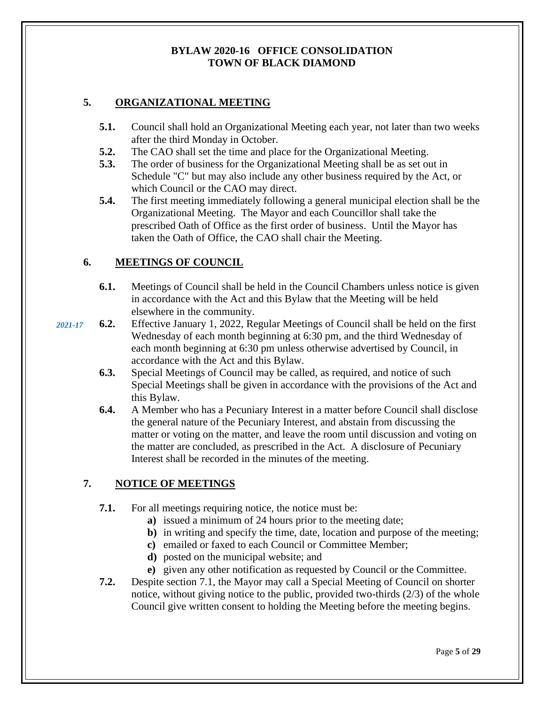## <span id="page-6-0"></span>**5. ORGANIZATIONAL MEETING**

- **5.1.** Council shall hold an Organizational Meeting each year, not later than two weeks after the third Monday in October.
- **5.2.** The CAO shall set the time and place for the Organizational Meeting.
- **5.3.** The order of business for the Organizational Meeting shall be as set out in Schedule "C" but may also include any other business required by the Act, or which Council or the CAO may direct.
- **5.4.** The first meeting immediately following a general municipal election shall be the Organizational Meeting. The Mayor and each Councillor shall take the prescribed Oath of Office as the first order of business. Until the Mayor has taken the Oath of Office, the CAO shall chair the Meeting.

## <span id="page-6-1"></span>**6. MEETINGS OF COUNCIL**

- **6.1.** Meetings of Council shall be held in the Council Chambers unless notice is given in accordance with the Act and this Bylaw that the Meeting will be held elsewhere in the community.
- **6.2.** Effective January 1, 2022, Regular Meetings of Council shall be held on the first Wednesday of each month beginning at 6:30 pm, and the third Wednesday of each month beginning at 6:30 pm unless otherwise advertised by Council, in accordance with the Act and this Bylaw. *2021-17*
	- **6.3.** Special Meetings of Council may be called, as required, and notice of such Special Meetings shall be given in accordance with the provisions of the Act and this Bylaw.
	- **6.4.** A Member who has a Pecuniary Interest in a matter before Council shall disclose the general nature of the Pecuniary Interest, and abstain from discussing the matter or voting on the matter, and leave the room until discussion and voting on the matter are concluded, as prescribed in the Act. A disclosure of Pecuniary Interest shall be recorded in the minutes of the meeting.

## <span id="page-6-2"></span>**7. NOTICE OF MEETINGS**

- **7.1.** For all meetings requiring notice, the notice must be:
	- **a)** issued a minimum of 24 hours prior to the meeting date;
	- **b)** in writing and specify the time, date, location and purpose of the meeting;
	- **c)** emailed or faxed to each Council or Committee Member;
	- **d)** posted on the municipal website; and
	- **e)** given any other notification as requested by Council or the Committee.
- **7.2.** Despite section 7.1, the Mayor may call a Special Meeting of Council on shorter notice, without giving notice to the public, provided two-thirds (2/3) of the whole Council give written consent to holding the Meeting before the meeting begins.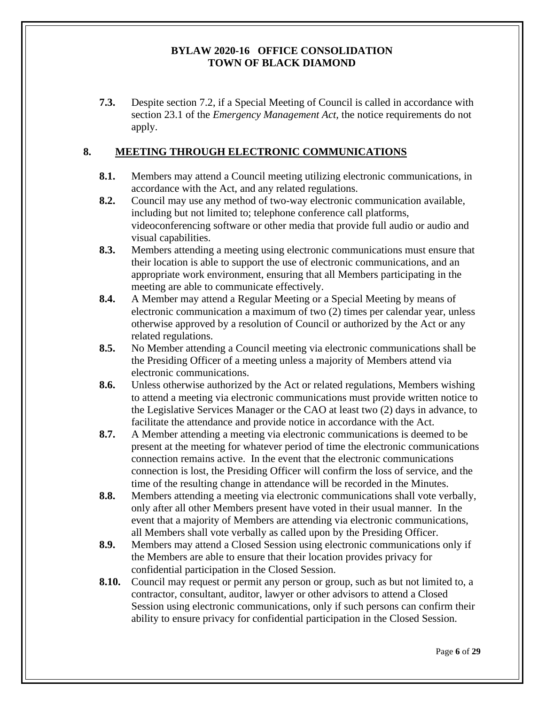**7.3.** Despite section 7.2, if a Special Meeting of Council is called in accordance with section 23.1 of the *Emergency Management Act,* the notice requirements do not apply.

## <span id="page-7-0"></span>**8. MEETING THROUGH ELECTRONIC COMMUNICATIONS**

- **8.1.** Members may attend a Council meeting utilizing electronic communications, in accordance with the Act, and any related regulations.
- **8.2.** Council may use any method of two-way electronic communication available, including but not limited to; telephone conference call platforms, videoconferencing software or other media that provide full audio or audio and visual capabilities.
- **8.3.** Members attending a meeting using electronic communications must ensure that their location is able to support the use of electronic communications, and an appropriate work environment, ensuring that all Members participating in the meeting are able to communicate effectively.
- **8.4.** A Member may attend a Regular Meeting or a Special Meeting by means of electronic communication a maximum of two (2) times per calendar year, unless otherwise approved by a resolution of Council or authorized by the Act or any related regulations.
- **8.5.** No Member attending a Council meeting via electronic communications shall be the Presiding Officer of a meeting unless a majority of Members attend via electronic communications.
- **8.6.** Unless otherwise authorized by the Act or related regulations, Members wishing to attend a meeting via electronic communications must provide written notice to the Legislative Services Manager or the CAO at least two (2) days in advance, to facilitate the attendance and provide notice in accordance with the Act.
- **8.7.** A Member attending a meeting via electronic communications is deemed to be present at the meeting for whatever period of time the electronic communications connection remains active. In the event that the electronic communications connection is lost, the Presiding Officer will confirm the loss of service, and the time of the resulting change in attendance will be recorded in the Minutes.
- **8.8.** Members attending a meeting via electronic communications shall vote verbally, only after all other Members present have voted in their usual manner. In the event that a majority of Members are attending via electronic communications, all Members shall vote verbally as called upon by the Presiding Officer.
- **8.9.** Members may attend a Closed Session using electronic communications only if the Members are able to ensure that their location provides privacy for confidential participation in the Closed Session.
- **8.10.** Council may request or permit any person or group, such as but not limited to, a contractor, consultant, auditor, lawyer or other advisors to attend a Closed Session using electronic communications, only if such persons can confirm their ability to ensure privacy for confidential participation in the Closed Session.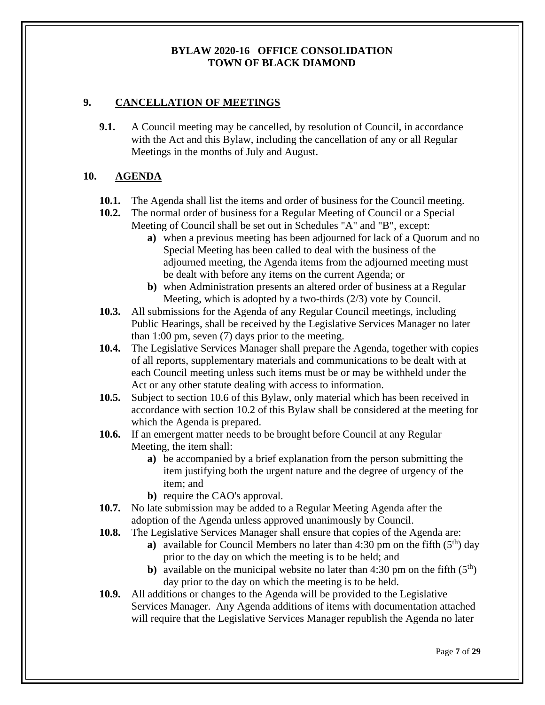## <span id="page-8-0"></span>**9. CANCELLATION OF MEETINGS**

**9.1.** A Council meeting may be cancelled, by resolution of Council, in accordance with the Act and this Bylaw, including the cancellation of any or all Regular Meetings in the months of July and August.

## <span id="page-8-1"></span>**10. AGENDA**

- **10.1.** The Agenda shall list the items and order of business for the Council meeting.
- **10.2.** The normal order of business for a Regular Meeting of Council or a Special Meeting of Council shall be set out in Schedules "A" and "B", except:
	- **a)** when a previous meeting has been adjourned for lack of a Quorum and no Special Meeting has been called to deal with the business of the adjourned meeting, the Agenda items from the adjourned meeting must be dealt with before any items on the current Agenda; or
	- **b)** when Administration presents an altered order of business at a Regular Meeting, which is adopted by a two-thirds (2/3) vote by Council.
- **10.3.** All submissions for the Agenda of any Regular Council meetings, including Public Hearings, shall be received by the Legislative Services Manager no later than 1:00 pm, seven (7) days prior to the meeting.
- **10.4.** The Legislative Services Manager shall prepare the Agenda, together with copies of all reports, supplementary materials and communications to be dealt with at each Council meeting unless such items must be or may be withheld under the Act or any other statute dealing with access to information.
- **10.5.** Subject to section 10.6 of this Bylaw, only material which has been received in accordance with section 10.2 of this Bylaw shall be considered at the meeting for which the Agenda is prepared.
- **10.6.** If an emergent matter needs to be brought before Council at any Regular Meeting, the item shall:
	- **a)** be accompanied by a brief explanation from the person submitting the item justifying both the urgent nature and the degree of urgency of the item; and
	- **b)** require the CAO's approval.
- **10.7.** No late submission may be added to a Regular Meeting Agenda after the adoption of the Agenda unless approved unanimously by Council.
- **10.8.** The Legislative Services Manager shall ensure that copies of the Agenda are:
	- **a**) available for Council Members no later than  $4:30$  pm on the fifth  $(5<sup>th</sup>)$  day prior to the day on which the meeting is to be held; and
	- **b**) available on the municipal website no later than 4:30 pm on the fifth  $(5<sup>th</sup>)$ day prior to the day on which the meeting is to be held.
- **10.9.** All additions or changes to the Agenda will be provided to the Legislative Services Manager. Any Agenda additions of items with documentation attached will require that the Legislative Services Manager republish the Agenda no later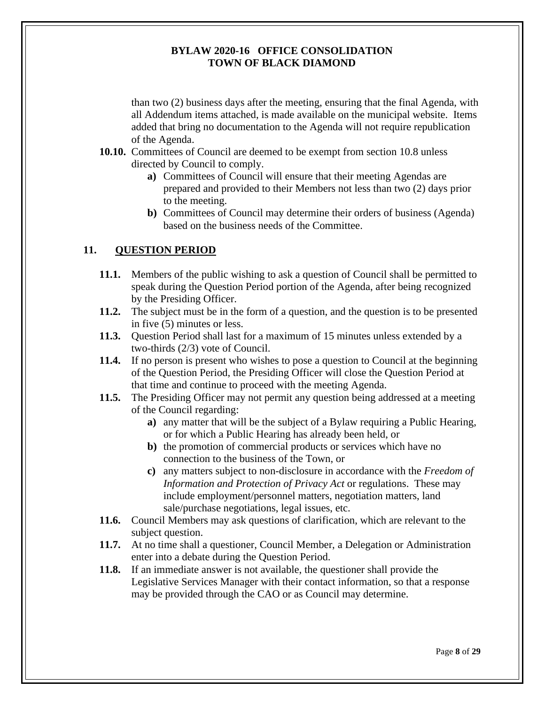<span id="page-9-0"></span>than two (2) business days after the meeting, ensuring that the final Agenda, with all Addendum items attached, is made available on the municipal website. Items added that bring no documentation to the Agenda will not require republication of the Agenda.

- **10.10.** Committees of Council are deemed to be exempt from section 10.8 unless directed by Council to comply.
	- **a)** Committees of Council will ensure that their meeting Agendas are prepared and provided to their Members not less than two (2) days prior to the meeting.
	- **b)** Committees of Council may determine their orders of business (Agenda) based on the business needs of the Committee.

## **11. QUESTION PERIOD**

- **11.1.** Members of the public wishing to ask a question of Council shall be permitted to speak during the Question Period portion of the Agenda, after being recognized by the Presiding Officer.
- **11.2.** The subject must be in the form of a question, and the question is to be presented in five (5) minutes or less.
- **11.3.** Question Period shall last for a maximum of 15 minutes unless extended by a two-thirds (2/3) vote of Council.
- **11.4.** If no person is present who wishes to pose a question to Council at the beginning of the Question Period, the Presiding Officer will close the Question Period at that time and continue to proceed with the meeting Agenda.
- **11.5.** The Presiding Officer may not permit any question being addressed at a meeting of the Council regarding:
	- **a)** any matter that will be the subject of a Bylaw requiring a Public Hearing, or for which a Public Hearing has already been held, or
	- **b**) the promotion of commercial products or services which have no connection to the business of the Town, or
	- **c)** any matters subject to non-disclosure in accordance with the *Freedom of Information and Protection of Privacy Act* or regulations. These may include employment/personnel matters, negotiation matters, land sale/purchase negotiations, legal issues, etc.
- **11.6.** Council Members may ask questions of clarification, which are relevant to the subject question.
- **11.7.** At no time shall a questioner, Council Member, a Delegation or Administration enter into a debate during the Question Period.
- **11.8.** If an immediate answer is not available, the questioner shall provide the Legislative Services Manager with their contact information, so that a response may be provided through the CAO or as Council may determine.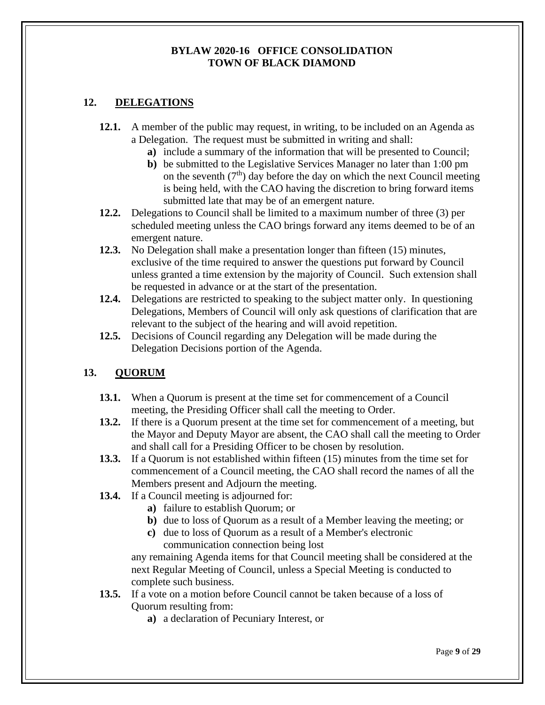## <span id="page-10-0"></span>**12. DELEGATIONS**

- **12.1.** A member of the public may request, in writing, to be included on an Agenda as a Delegation. The request must be submitted in writing and shall:
	- **a)** include a summary of the information that will be presented to Council;
	- **b)** be submitted to the Legislative Services Manager no later than 1:00 pm on the seventh  $(7<sup>th</sup>)$  day before the day on which the next Council meeting is being held, with the CAO having the discretion to bring forward items submitted late that may be of an emergent nature.
- **12.2.** Delegations to Council shall be limited to a maximum number of three (3) per scheduled meeting unless the CAO brings forward any items deemed to be of an emergent nature.
- **12.3.** No Delegation shall make a presentation longer than fifteen (15) minutes, exclusive of the time required to answer the questions put forward by Council unless granted a time extension by the majority of Council. Such extension shall be requested in advance or at the start of the presentation.
- **12.4.** Delegations are restricted to speaking to the subject matter only. In questioning Delegations, Members of Council will only ask questions of clarification that are relevant to the subject of the hearing and will avoid repetition.
- **12.5.** Decisions of Council regarding any Delegation will be made during the Delegation Decisions portion of the Agenda.

## <span id="page-10-1"></span>**13. QUORUM**

- **13.1.** When a Quorum is present at the time set for commencement of a Council meeting, the Presiding Officer shall call the meeting to Order.
- **13.2.** If there is a Quorum present at the time set for commencement of a meeting, but the Mayor and Deputy Mayor are absent, the CAO shall call the meeting to Order and shall call for a Presiding Officer to be chosen by resolution.
- **13.3.** If a Quorum is not established within fifteen (15) minutes from the time set for commencement of a Council meeting, the CAO shall record the names of all the Members present and Adjourn the meeting.
- **13.4.** If a Council meeting is adjourned for:
	- **a)** failure to establish Quorum; or
	- **b)** due to loss of Quorum as a result of a Member leaving the meeting; or
	- **c)** due to loss of Quorum as a result of a Member's electronic communication connection being lost

any remaining Agenda items for that Council meeting shall be considered at the next Regular Meeting of Council, unless a Special Meeting is conducted to complete such business.

- **13.5.** If a vote on a motion before Council cannot be taken because of a loss of Quorum resulting from:
	- **a)** a declaration of Pecuniary Interest, or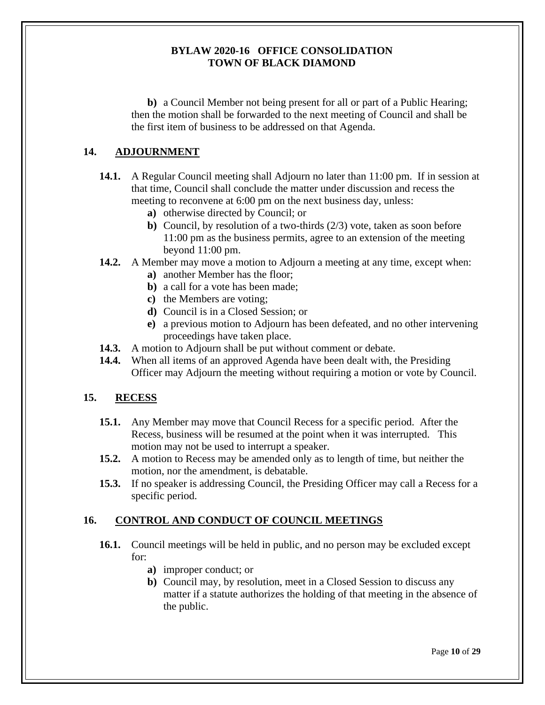**b)** a Council Member not being present for all or part of a Public Hearing; then the motion shall be forwarded to the next meeting of Council and shall be the first item of business to be addressed on that Agenda.

## <span id="page-11-0"></span>**14. ADJOURNMENT**

- **14.1.** A Regular Council meeting shall Adjourn no later than 11:00 pm. If in session at that time, Council shall conclude the matter under discussion and recess the meeting to reconvene at 6:00 pm on the next business day, unless:
	- **a)** otherwise directed by Council; or
	- **b)** Council, by resolution of a two-thirds (2/3) vote, taken as soon before 11:00 pm as the business permits, agree to an extension of the meeting beyond 11:00 pm.
- **14.2.** A Member may move a motion to Adjourn a meeting at any time, except when:
	- **a)** another Member has the floor;
	- **b)** a call for a vote has been made;
	- **c)** the Members are voting;
	- **d)** Council is in a Closed Session; or
	- **e)** a previous motion to Adjourn has been defeated, and no other intervening proceedings have taken place.
- **14.3.** A motion to Adjourn shall be put without comment or debate.
- **14.4.** When all items of an approved Agenda have been dealt with, the Presiding Officer may Adjourn the meeting without requiring a motion or vote by Council.

## <span id="page-11-1"></span>**15. RECESS**

- **15.1.** Any Member may move that Council Recess for a specific period. After the Recess, business will be resumed at the point when it was interrupted. This motion may not be used to interrupt a speaker.
- **15.2.** A motion to Recess may be amended only as to length of time, but neither the motion, nor the amendment, is debatable.
- **15.3.** If no speaker is addressing Council, the Presiding Officer may call a Recess for a specific period.

## <span id="page-11-2"></span>**16. CONTROL AND CONDUCT OF COUNCIL MEETINGS**

- **16.1.** Council meetings will be held in public, and no person may be excluded except for:
	- **a)** improper conduct; or
	- **b)** Council may, by resolution, meet in a Closed Session to discuss any matter if a statute authorizes the holding of that meeting in the absence of the public.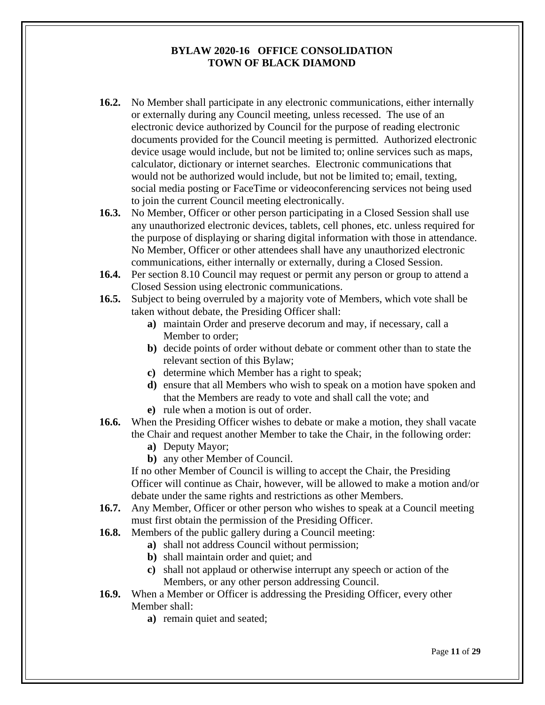- **16.2.** No Member shall participate in any electronic communications, either internally or externally during any Council meeting, unless recessed. The use of an electronic device authorized by Council for the purpose of reading electronic documents provided for the Council meeting is permitted. Authorized electronic device usage would include, but not be limited to; online services such as maps, calculator, dictionary or internet searches. Electronic communications that would not be authorized would include, but not be limited to; email, texting, social media posting or FaceTime or videoconferencing services not being used to join the current Council meeting electronically.
- **16.3.** No Member, Officer or other person participating in a Closed Session shall use any unauthorized electronic devices, tablets, cell phones, etc. unless required for the purpose of displaying or sharing digital information with those in attendance. No Member, Officer or other attendees shall have any unauthorized electronic communications, either internally or externally, during a Closed Session.
- **16.4.** Per section 8.10 Council may request or permit any person or group to attend a Closed Session using electronic communications.
- **16.5.** Subject to being overruled by a majority vote of Members, which vote shall be taken without debate, the Presiding Officer shall:
	- **a)** maintain Order and preserve decorum and may, if necessary, call a Member to order;
	- **b)** decide points of order without debate or comment other than to state the relevant section of this Bylaw;
	- **c)** determine which Member has a right to speak;
	- **d)** ensure that all Members who wish to speak on a motion have spoken and that the Members are ready to vote and shall call the vote; and **e)** rule when a motion is out of order.
- **16.6.** When the Presiding Officer wishes to debate or make a motion, they shall vacate the Chair and request another Member to take the Chair, in the following order:
	- **a)** Deputy Mayor;
	- **b)** any other Member of Council.

If no other Member of Council is willing to accept the Chair, the Presiding Officer will continue as Chair, however, will be allowed to make a motion and/or debate under the same rights and restrictions as other Members.

- **16.7.** Any Member, Officer or other person who wishes to speak at a Council meeting must first obtain the permission of the Presiding Officer.
- **16.8.** Members of the public gallery during a Council meeting:
	- **a)** shall not address Council without permission;
	- **b)** shall maintain order and quiet; and
	- **c)** shall not applaud or otherwise interrupt any speech or action of the Members, or any other person addressing Council.
- **16.9.** When a Member or Officer is addressing the Presiding Officer, every other Member shall:
	- **a)** remain quiet and seated;

Page **11** of **29**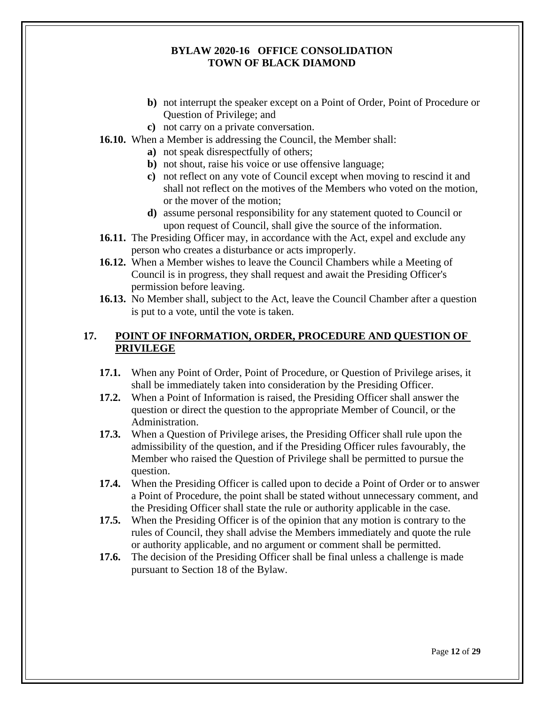- **b)** not interrupt the speaker except on a Point of Order, Point of Procedure or Question of Privilege; and
- **c)** not carry on a private conversation.
- **16.10.** When a Member is addressing the Council, the Member shall:
	- **a)** not speak disrespectfully of others;
	- **b)** not shout, raise his voice or use offensive language;
	- **c)** not reflect on any vote of Council except when moving to rescind it and shall not reflect on the motives of the Members who voted on the motion, or the mover of the motion;
	- **d)** assume personal responsibility for any statement quoted to Council or upon request of Council, shall give the source of the information.
- **16.11.** The Presiding Officer may, in accordance with the Act, expel and exclude any person who creates a disturbance or acts improperly.
- **16.12.** When a Member wishes to leave the Council Chambers while a Meeting of Council is in progress, they shall request and await the Presiding Officer's permission before leaving.
- **16.13.** No Member shall, subject to the Act, leave the Council Chamber after a question is put to a vote, until the vote is taken.

## <span id="page-13-0"></span>**17. POINT OF INFORMATION, ORDER, PROCEDURE AND QUESTION OF PRIVILEGE**

- **17.1.** When any Point of Order, Point of Procedure, or Question of Privilege arises, it shall be immediately taken into consideration by the Presiding Officer.
- **17.2.** When a Point of Information is raised, the Presiding Officer shall answer the question or direct the question to the appropriate Member of Council, or the Administration.
- **17.3.** When a Question of Privilege arises, the Presiding Officer shall rule upon the admissibility of the question, and if the Presiding Officer rules favourably, the Member who raised the Question of Privilege shall be permitted to pursue the question.
- **17.4.** When the Presiding Officer is called upon to decide a Point of Order or to answer a Point of Procedure, the point shall be stated without unnecessary comment, and the Presiding Officer shall state the rule or authority applicable in the case.
- **17.5.** When the Presiding Officer is of the opinion that any motion is contrary to the rules of Council, they shall advise the Members immediately and quote the rule or authority applicable, and no argument or comment shall be permitted.
- **17.6.** The decision of the Presiding Officer shall be final unless a challenge is made pursuant to Section 18 of the Bylaw.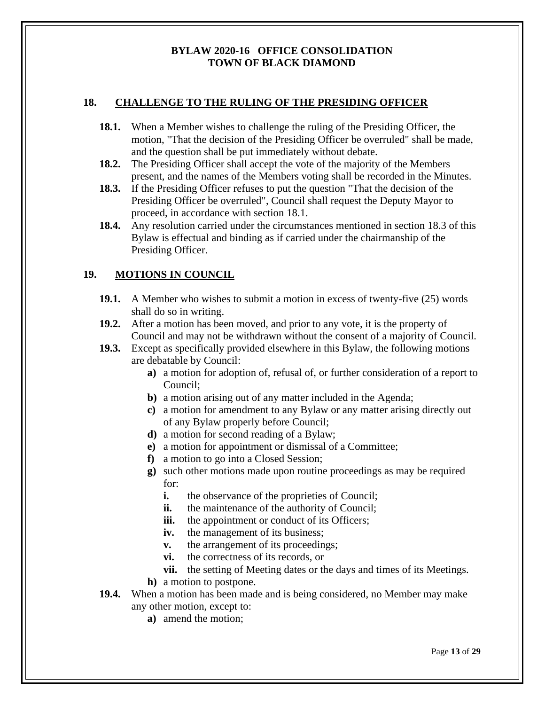## <span id="page-14-0"></span>**18. CHALLENGE TO THE RULING OF THE PRESIDING OFFICER**

- **18.1.** When a Member wishes to challenge the ruling of the Presiding Officer, the motion, "That the decision of the Presiding Officer be overruled" shall be made, and the question shall be put immediately without debate.
- **18.2.** The Presiding Officer shall accept the vote of the majority of the Members present, and the names of the Members voting shall be recorded in the Minutes.
- **18.3.** If the Presiding Officer refuses to put the question "That the decision of the Presiding Officer be overruled", Council shall request the Deputy Mayor to proceed, in accordance with section 18.1.
- **18.4.** Any resolution carried under the circumstances mentioned in section 18.3 of this Bylaw is effectual and binding as if carried under the chairmanship of the Presiding Officer.

## <span id="page-14-1"></span>**19. MOTIONS IN COUNCIL**

- **19.1.** A Member who wishes to submit a motion in excess of twenty-five (25) words shall do so in writing.
- **19.2.** After a motion has been moved, and prior to any vote, it is the property of Council and may not be withdrawn without the consent of a majority of Council.
- **19.3.** Except as specifically provided elsewhere in this Bylaw, the following motions are debatable by Council:
	- **a)** a motion for adoption of, refusal of, or further consideration of a report to Council;
	- **b**) a motion arising out of any matter included in the Agenda;
	- **c)** a motion for amendment to any Bylaw or any matter arising directly out of any Bylaw properly before Council;
	- **d)** a motion for second reading of a Bylaw;
	- **e)** a motion for appointment or dismissal of a Committee;
	- **f)** a motion to go into a Closed Session;
	- **g)** such other motions made upon routine proceedings as may be required for:
		- **i.** the observance of the proprieties of Council;
		- **ii.** the maintenance of the authority of Council;
		- **iii.** the appointment or conduct of its Officers;
		- **iv.** the management of its business;
		- **v.** the arrangement of its proceedings;
		- **vi.** the correctness of its records, or
		- **vii.** the setting of Meeting dates or the days and times of its Meetings.
	- **h)** a motion to postpone.
- **19.4.** When a motion has been made and is being considered, no Member may make any other motion, except to:
	- **a)** amend the motion;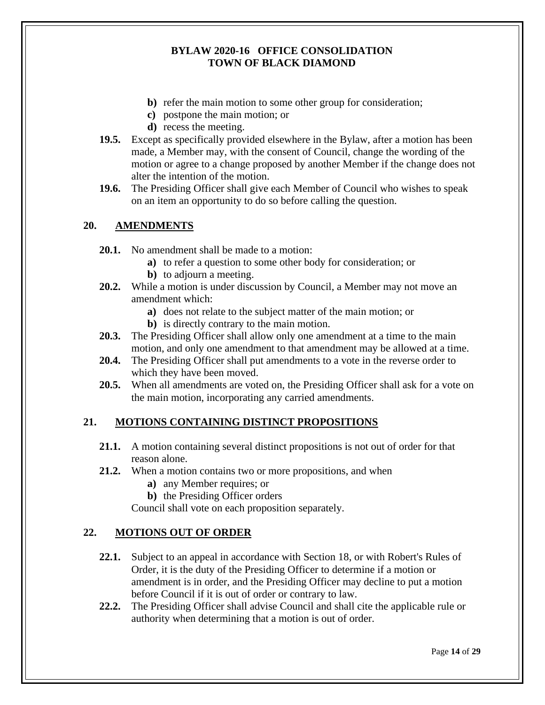- **b)** refer the main motion to some other group for consideration;
- **c)** postpone the main motion; or
- **d)** recess the meeting.
- **19.5.** Except as specifically provided elsewhere in the Bylaw, after a motion has been made, a Member may, with the consent of Council, change the wording of the motion or agree to a change proposed by another Member if the change does not alter the intention of the motion.
- **19.6.** The Presiding Officer shall give each Member of Council who wishes to speak on an item an opportunity to do so before calling the question.

## **20. AMENDMENTS**

- <span id="page-15-0"></span>**20.1.** No amendment shall be made to a motion:
	- **a)** to refer a question to some other body for consideration; or
	- **b)** to adjourn a meeting.
- **20.2.** While a motion is under discussion by Council, a Member may not move an amendment which:
	- **a)** does not relate to the subject matter of the main motion; or
	- **b)** is directly contrary to the main motion.
- **20.3.** The Presiding Officer shall allow only one amendment at a time to the main motion, and only one amendment to that amendment may be allowed at a time.
- **20.4.** The Presiding Officer shall put amendments to a vote in the reverse order to which they have been moved.
- **20.5.** When all amendments are voted on, the Presiding Officer shall ask for a vote on the main motion, incorporating any carried amendments.

## <span id="page-15-1"></span>**21. MOTIONS CONTAINING DISTINCT PROPOSITIONS**

- **21.1.** A motion containing several distinct propositions is not out of order for that reason alone.
- **21.2.** When a motion contains two or more propositions, and when
	- **a)** any Member requires; or
	- **b)** the Presiding Officer orders

Council shall vote on each proposition separately.

## <span id="page-15-2"></span>**22. MOTIONS OUT OF ORDER**

- **22.1.** Subject to an appeal in accordance with Section 18, or with Robert's Rules of Order, it is the duty of the Presiding Officer to determine if a motion or amendment is in order, and the Presiding Officer may decline to put a motion before Council if it is out of order or contrary to law.
- **22.2.** The Presiding Officer shall advise Council and shall cite the applicable rule or authority when determining that a motion is out of order.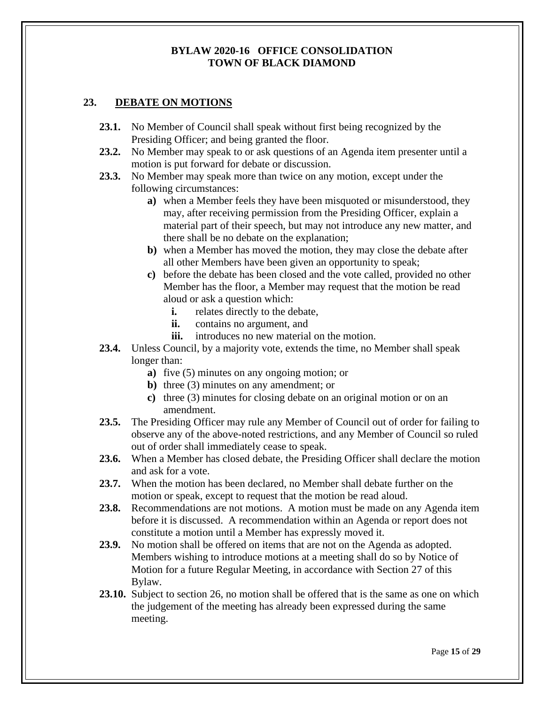## <span id="page-16-0"></span>**23. DEBATE ON MOTIONS**

- **23.1.** No Member of Council shall speak without first being recognized by the Presiding Officer; and being granted the floor.
- **23.2.** No Member may speak to or ask questions of an Agenda item presenter until a motion is put forward for debate or discussion.
- **23.3.** No Member may speak more than twice on any motion, except under the following circumstances:
	- **a)** when a Member feels they have been misquoted or misunderstood, they may, after receiving permission from the Presiding Officer, explain a material part of their speech, but may not introduce any new matter, and there shall be no debate on the explanation;
	- **b)** when a Member has moved the motion, they may close the debate after all other Members have been given an opportunity to speak;
	- **c)** before the debate has been closed and the vote called, provided no other Member has the floor, a Member may request that the motion be read aloud or ask a question which:
		- **i.** relates directly to the debate,
		- **ii.** contains no argument, and
		- **iii.** introduces no new material on the motion.
- **23.4.** Unless Council, by a majority vote, extends the time, no Member shall speak longer than:
	- **a)** five (5) minutes on any ongoing motion; or
	- **b)** three (3) minutes on any amendment; or
	- **c)** three (3) minutes for closing debate on an original motion or on an amendment.
- **23.5.** The Presiding Officer may rule any Member of Council out of order for failing to observe any of the above-noted restrictions, and any Member of Council so ruled out of order shall immediately cease to speak.
- **23.6.** When a Member has closed debate, the Presiding Officer shall declare the motion and ask for a vote.
- **23.7.** When the motion has been declared, no Member shall debate further on the motion or speak, except to request that the motion be read aloud.
- **23.8.** Recommendations are not motions. A motion must be made on any Agenda item before it is discussed. A recommendation within an Agenda or report does not constitute a motion until a Member has expressly moved it.
- **23.9.** No motion shall be offered on items that are not on the Agenda as adopted. Members wishing to introduce motions at a meeting shall do so by Notice of Motion for a future Regular Meeting, in accordance with Section 27 of this Bylaw.
- **23.10.** Subject to section 26, no motion shall be offered that is the same as one on which the judgement of the meeting has already been expressed during the same meeting.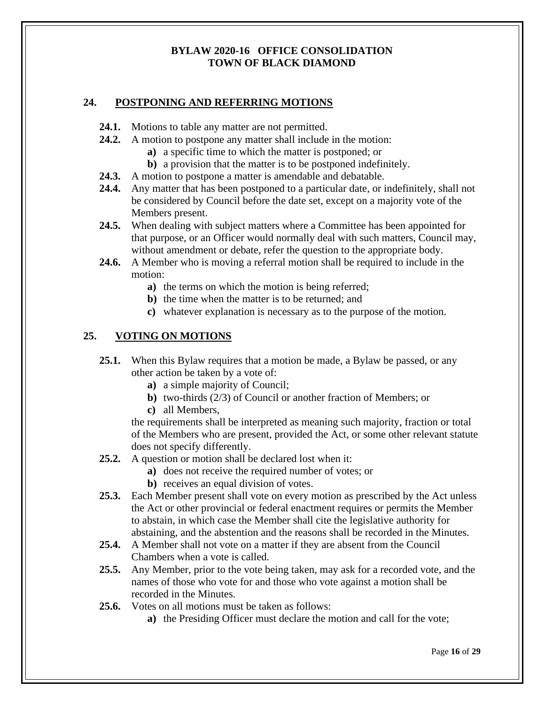## <span id="page-17-0"></span>**24. POSTPONING AND REFERRING MOTIONS**

- **24.1.** Motions to table any matter are not permitted.
- **24.2.** A motion to postpone any matter shall include in the motion:
	- **a)** a specific time to which the matter is postponed; or
	- **b)** a provision that the matter is to be postponed indefinitely.
- **24.3.** A motion to postpone a matter is amendable and debatable.
- **24.4.** Any matter that has been postponed to a particular date, or indefinitely, shall not be considered by Council before the date set, except on a majority vote of the Members present.
- **24.5.** When dealing with subject matters where a Committee has been appointed for that purpose, or an Officer would normally deal with such matters, Council may, without amendment or debate, refer the question to the appropriate body.
- **24.6.** A Member who is moving a referral motion shall be required to include in the motion:
	- **a)** the terms on which the motion is being referred;
	- **b)** the time when the matter is to be returned; and
	- **c)** whatever explanation is necessary as to the purpose of the motion.

## <span id="page-17-1"></span>**25. VOTING ON MOTIONS**

- **25.1.** When this Bylaw requires that a motion be made, a Bylaw be passed, or any other action be taken by a vote of:
	- **a)** a simple majority of Council;
	- **b)** two-thirds (2/3) of Council or another fraction of Members; or
	- **c)** all Members,

the requirements shall be interpreted as meaning such majority, fraction or total of the Members who are present, provided the Act, or some other relevant statute does not specify differently.

- **25.2.** A question or motion shall be declared lost when it:
	- **a)** does not receive the required number of votes; or
	- **b)** receives an equal division of votes.
- **25.3.** Each Member present shall vote on every motion as prescribed by the Act unless the Act or other provincial or federal enactment requires or permits the Member to abstain, in which case the Member shall cite the legislative authority for abstaining, and the abstention and the reasons shall be recorded in the Minutes.
- **25.4.** A Member shall not vote on a matter if they are absent from the Council Chambers when a vote is called.
- **25.5.** Any Member, prior to the vote being taken, may ask for a recorded vote, and the names of those who vote for and those who vote against a motion shall be recorded in the Minutes.
- **25.6.** Votes on all motions must be taken as follows:
	- **a)** the Presiding Officer must declare the motion and call for the vote;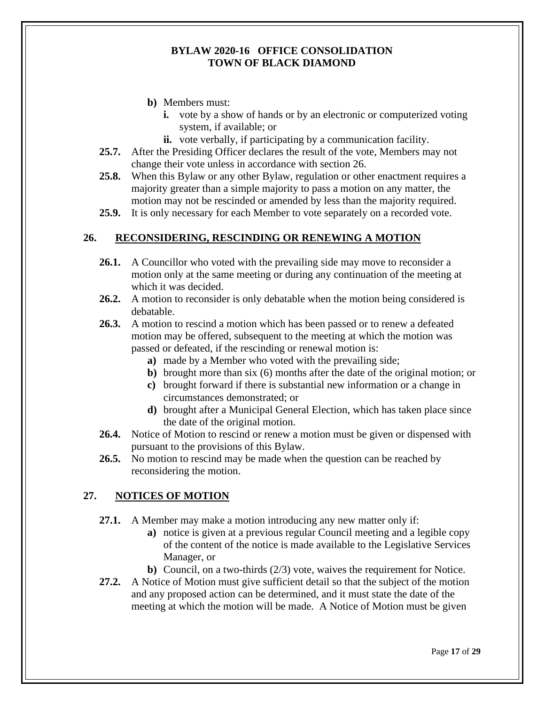- **b)** Members must:
	- **i.** vote by a show of hands or by an electronic or computerized voting system, if available; or
	- **ii.** vote verbally, if participating by a communication facility.
- **25.7.** After the Presiding Officer declares the result of the vote, Members may not change their vote unless in accordance with section 26.
- **25.8.** When this Bylaw or any other Bylaw, regulation or other enactment requires a majority greater than a simple majority to pass a motion on any matter, the motion may not be rescinded or amended by less than the majority required.
- **25.9.** It is only necessary for each Member to vote separately on a recorded vote.

#### <span id="page-18-0"></span>**26. RECONSIDERING, RESCINDING OR RENEWING A MOTION**

- **26.1.** A Councillor who voted with the prevailing side may move to reconsider a motion only at the same meeting or during any continuation of the meeting at which it was decided.
- **26.2.** A motion to reconsider is only debatable when the motion being considered is debatable.
- **26.3.** A motion to rescind a motion which has been passed or to renew a defeated motion may be offered, subsequent to the meeting at which the motion was passed or defeated, if the rescinding or renewal motion is:
	- **a)** made by a Member who voted with the prevailing side;
	- **b)** brought more than six (6) months after the date of the original motion; or
	- **c)** brought forward if there is substantial new information or a change in circumstances demonstrated; or
	- **d)** brought after a Municipal General Election, which has taken place since the date of the original motion.
- **26.4.** Notice of Motion to rescind or renew a motion must be given or dispensed with pursuant to the provisions of this Bylaw.
- **26.5.** No motion to rescind may be made when the question can be reached by reconsidering the motion.

#### <span id="page-18-1"></span>**27. NOTICES OF MOTION**

- **27.1.** A Member may make a motion introducing any new matter only if:
	- **a)** notice is given at a previous regular Council meeting and a legible copy of the content of the notice is made available to the Legislative Services Manager, or
	- **b)** Council, on a two-thirds (2/3) vote, waives the requirement for Notice.
- **27.2.** A Notice of Motion must give sufficient detail so that the subject of the motion and any proposed action can be determined, and it must state the date of the meeting at which the motion will be made. A Notice of Motion must be given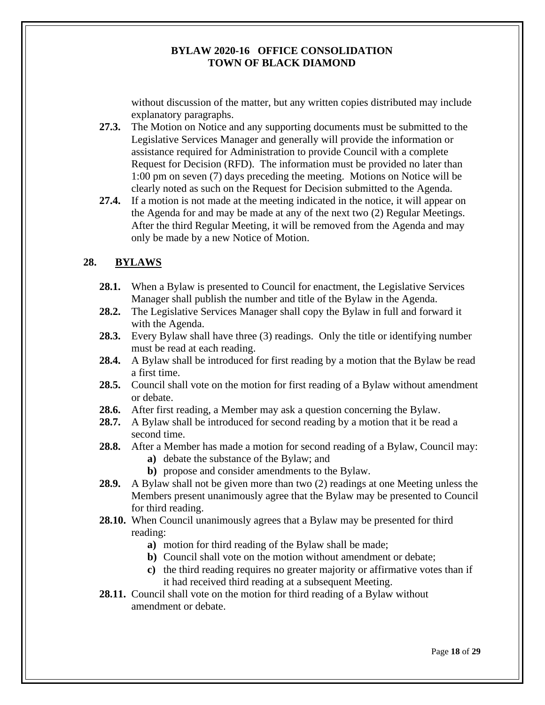without discussion of the matter, but any written copies distributed may include explanatory paragraphs.

**27.3.** The Motion on Notice and any supporting documents must be submitted to the Legislative Services Manager and generally will provide the information or assistance required for Administration to provide Council with a complete Request for Decision (RFD). The information must be provided no later than 1:00 pm on seven (7) days preceding the meeting. Motions on Notice will be clearly noted as such on the Request for Decision submitted to the Agenda.

**27.4.** If a motion is not made at the meeting indicated in the notice, it will appear on the Agenda for and may be made at any of the next two (2) Regular Meetings. After the third Regular Meeting, it will be removed from the Agenda and may only be made by a new Notice of Motion.

## <span id="page-19-0"></span>**28. BYLAWS**

- **28.1.** When a Bylaw is presented to Council for enactment, the Legislative Services Manager shall publish the number and title of the Bylaw in the Agenda.
- **28.2.** The Legislative Services Manager shall copy the Bylaw in full and forward it with the Agenda.
- **28.3.** Every Bylaw shall have three (3) readings. Only the title or identifying number must be read at each reading.
- **28.4.** A Bylaw shall be introduced for first reading by a motion that the Bylaw be read a first time.
- **28.5.** Council shall vote on the motion for first reading of a Bylaw without amendment or debate.
- **28.6.** After first reading, a Member may ask a question concerning the Bylaw.
- **28.7.** A Bylaw shall be introduced for second reading by a motion that it be read a second time.
- **28.8.** After a Member has made a motion for second reading of a Bylaw, Council may:
	- **a)** debate the substance of the Bylaw; and
	- **b)** propose and consider amendments to the Bylaw.
- **28.9.** A Bylaw shall not be given more than two (2) readings at one Meeting unless the Members present unanimously agree that the Bylaw may be presented to Council for third reading.
- **28.10.** When Council unanimously agrees that a Bylaw may be presented for third reading:
	- **a)** motion for third reading of the Bylaw shall be made;
	- **b)** Council shall vote on the motion without amendment or debate;
	- **c)** the third reading requires no greater majority or affirmative votes than if it had received third reading at a subsequent Meeting.

**28.11.** Council shall vote on the motion for third reading of a Bylaw without amendment or debate.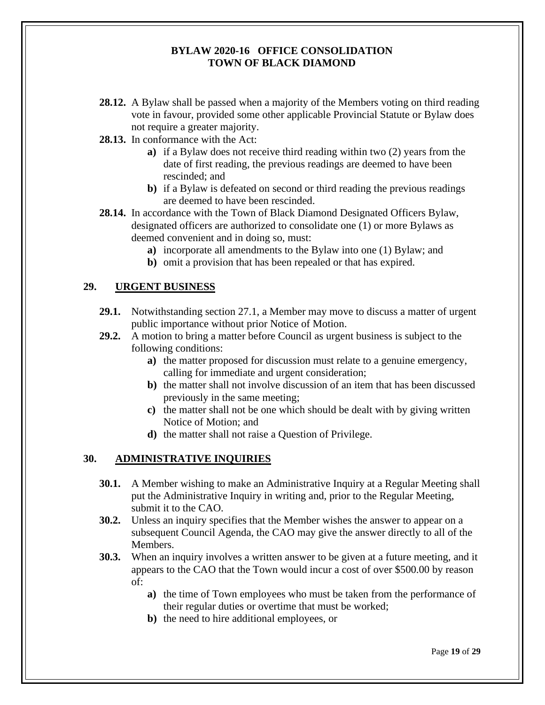- **28.12.** A Bylaw shall be passed when a majority of the Members voting on third reading vote in favour, provided some other applicable Provincial Statute or Bylaw does not require a greater majority.
- **28.13.** In conformance with the Act:
	- **a)** if a Bylaw does not receive third reading within two (2) years from the date of first reading, the previous readings are deemed to have been rescinded; and
	- **b)** if a Bylaw is defeated on second or third reading the previous readings are deemed to have been rescinded.
- **28.14.** In accordance with the Town of Black Diamond Designated Officers Bylaw, designated officers are authorized to consolidate one (1) or more Bylaws as deemed convenient and in doing so, must:
	- **a)** incorporate all amendments to the Bylaw into one (1) Bylaw; and
	- **b)** omit a provision that has been repealed or that has expired.

#### <span id="page-20-0"></span>**29. URGENT BUSINESS**

- **29.1.** Notwithstanding section 27.1, a Member may move to discuss a matter of urgent public importance without prior Notice of Motion.
- **29.2.** A motion to bring a matter before Council as urgent business is subject to the following conditions:
	- **a)** the matter proposed for discussion must relate to a genuine emergency, calling for immediate and urgent consideration;
	- **b)** the matter shall not involve discussion of an item that has been discussed previously in the same meeting;
	- **c)** the matter shall not be one which should be dealt with by giving written Notice of Motion; and
	- **d)** the matter shall not raise a Question of Privilege.

#### <span id="page-20-1"></span>**30. ADMINISTRATIVE INQUIRIES**

- **30.1.** A Member wishing to make an Administrative Inquiry at a Regular Meeting shall put the Administrative Inquiry in writing and, prior to the Regular Meeting, submit it to the CAO.
- **30.2.** Unless an inquiry specifies that the Member wishes the answer to appear on a subsequent Council Agenda, the CAO may give the answer directly to all of the Members.
- **30.3.** When an inquiry involves a written answer to be given at a future meeting, and it appears to the CAO that the Town would incur a cost of over \$500.00 by reason of:
	- **a)** the time of Town employees who must be taken from the performance of their regular duties or overtime that must be worked;
	- **b)** the need to hire additional employees, or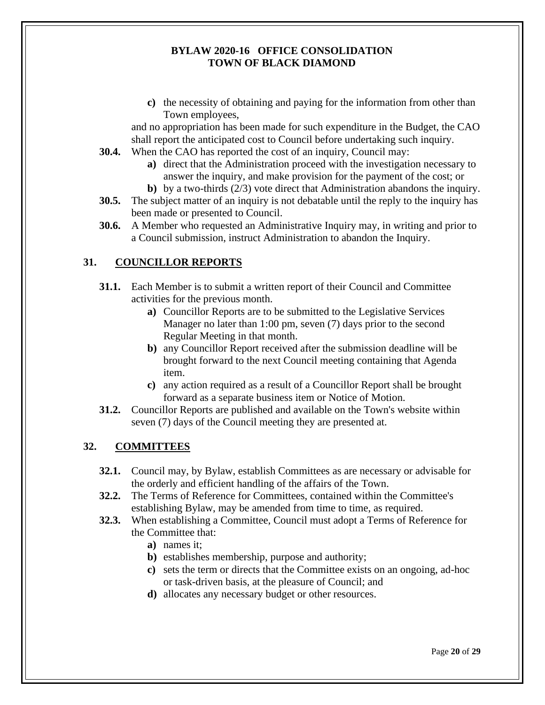**c)** the necessity of obtaining and paying for the information from other than Town employees,

and no appropriation has been made for such expenditure in the Budget, the CAO shall report the anticipated cost to Council before undertaking such inquiry.

- **30.4.** When the CAO has reported the cost of an inquiry, Council may:
	- **a)** direct that the Administration proceed with the investigation necessary to answer the inquiry, and make provision for the payment of the cost; or
	- **b)** by a two-thirds (2/3) vote direct that Administration abandons the inquiry.
- **30.5.** The subject matter of an inquiry is not debatable until the reply to the inquiry has been made or presented to Council.
- **30.6.** A Member who requested an Administrative Inquiry may, in writing and prior to a Council submission, instruct Administration to abandon the Inquiry.

## <span id="page-21-0"></span>**31. COUNCILLOR REPORTS**

- **31.1.** Each Member is to submit a written report of their Council and Committee activities for the previous month.
	- **a)** Councillor Reports are to be submitted to the Legislative Services Manager no later than 1:00 pm, seven (7) days prior to the second Regular Meeting in that month.
	- **b)** any Councillor Report received after the submission deadline will be brought forward to the next Council meeting containing that Agenda item.
	- **c)** any action required as a result of a Councillor Report shall be brought forward as a separate business item or Notice of Motion.
- **31.2.** Councillor Reports are published and available on the Town's website within seven (7) days of the Council meeting they are presented at.

## <span id="page-21-1"></span>**32. COMMITTEES**

- **32.1.** Council may, by Bylaw, establish Committees as are necessary or advisable for the orderly and efficient handling of the affairs of the Town.
- **32.2.** The Terms of Reference for Committees, contained within the Committee's establishing Bylaw, may be amended from time to time, as required.
- **32.3.** When establishing a Committee, Council must adopt a Terms of Reference for the Committee that:
	- **a)** names it;
	- **b)** establishes membership, purpose and authority;
	- **c)** sets the term or directs that the Committee exists on an ongoing, ad-hoc or task-driven basis, at the pleasure of Council; and
	- **d)** allocates any necessary budget or other resources.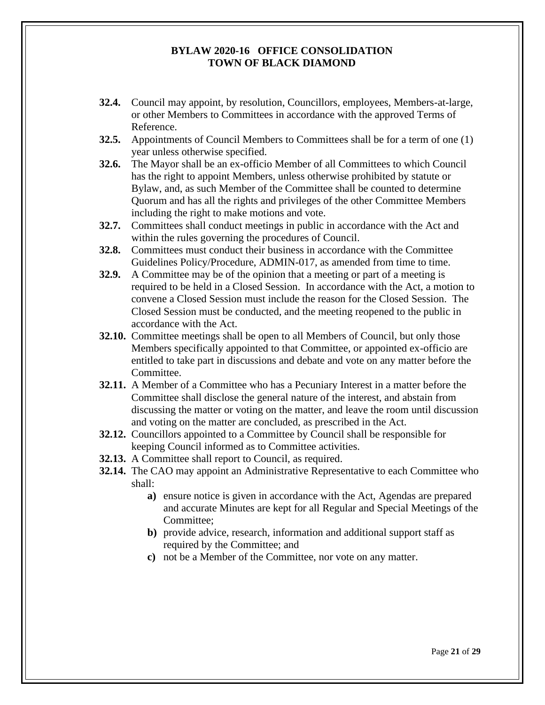- **32.4.** Council may appoint, by resolution, Councillors, employees, Members-at-large, or other Members to Committees in accordance with the approved Terms of Reference.
- **32.5.** Appointments of Council Members to Committees shall be for a term of one (1) year unless otherwise specified.
- **32.6.** The Mayor shall be an ex-officio Member of all Committees to which Council has the right to appoint Members, unless otherwise prohibited by statute or Bylaw, and, as such Member of the Committee shall be counted to determine Quorum and has all the rights and privileges of the other Committee Members including the right to make motions and vote.
- **32.7.** Committees shall conduct meetings in public in accordance with the Act and within the rules governing the procedures of Council.
- **32.8.** Committees must conduct their business in accordance with the Committee Guidelines Policy/Procedure, ADMIN-017, as amended from time to time.
- **32.9.** A Committee may be of the opinion that a meeting or part of a meeting is required to be held in a Closed Session. In accordance with the Act, a motion to convene a Closed Session must include the reason for the Closed Session. The Closed Session must be conducted, and the meeting reopened to the public in accordance with the Act.
- **32.10.** Committee meetings shall be open to all Members of Council, but only those Members specifically appointed to that Committee, or appointed ex-officio are entitled to take part in discussions and debate and vote on any matter before the Committee.
- **32.11.** A Member of a Committee who has a Pecuniary Interest in a matter before the Committee shall disclose the general nature of the interest, and abstain from discussing the matter or voting on the matter, and leave the room until discussion and voting on the matter are concluded, as prescribed in the Act.
- **32.12.** Councillors appointed to a Committee by Council shall be responsible for keeping Council informed as to Committee activities.
- **32.13.** A Committee shall report to Council, as required.
- **32.14.** The CAO may appoint an Administrative Representative to each Committee who shall:
	- **a)** ensure notice is given in accordance with the Act, Agendas are prepared and accurate Minutes are kept for all Regular and Special Meetings of the Committee;
	- **b)** provide advice, research, information and additional support staff as required by the Committee; and
	- **c)** not be a Member of the Committee, nor vote on any matter.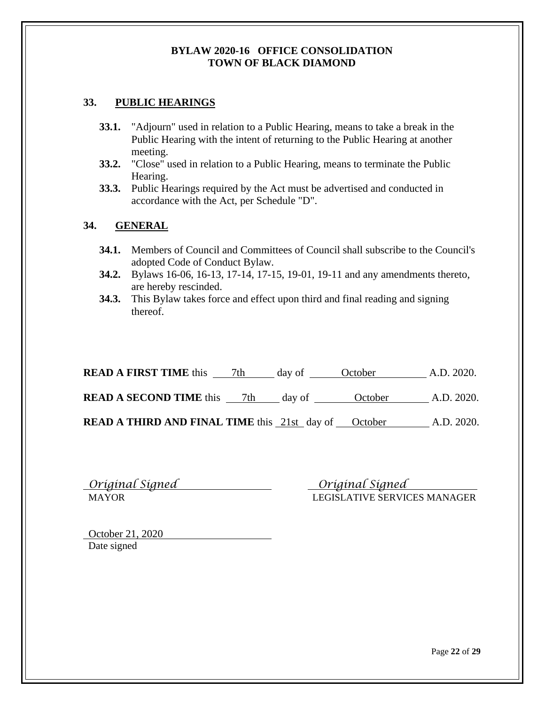## <span id="page-23-0"></span>**33. PUBLIC HEARINGS**

- **33.1.** "Adjourn" used in relation to a Public Hearing, means to take a break in the Public Hearing with the intent of returning to the Public Hearing at another meeting.
- **33.2.** "Close" used in relation to a Public Hearing, means to terminate the Public Hearing.
- **33.3.** Public Hearings required by the Act must be advertised and conducted in accordance with the Act, per Schedule "D".

## <span id="page-23-1"></span>**34. GENERAL**

- **34.1.** Members of Council and Committees of Council shall subscribe to the Council's adopted Code of Conduct Bylaw.
- **34.2.** Bylaws 16-06, 16-13, 17-14, 17-15, 19-01, 19-11 and any amendments thereto, are hereby rescinded.
- **34.3.** This Bylaw takes force and effect upon third and final reading and signing thereof.

| <b>READ A FIRST TIME</b> this                               | 7th | day of | October | A.D. 2020. |
|-------------------------------------------------------------|-----|--------|---------|------------|
| <b>READ A SECOND TIME</b> this                              | 7th | day of | October | A.D. 2020. |
| <b>READ A THIRD AND FINAL TIME</b> this 21st day of October |     |        |         | A.D. 2020. |

| Original Signed |  |
|-----------------|--|
| <b>MAYOR</b>    |  |

 *Original Signed Original Signed*  LEGISLATIVE SERVICES MANAGER

October 21, 2020 Date signed

Page **22** of **29**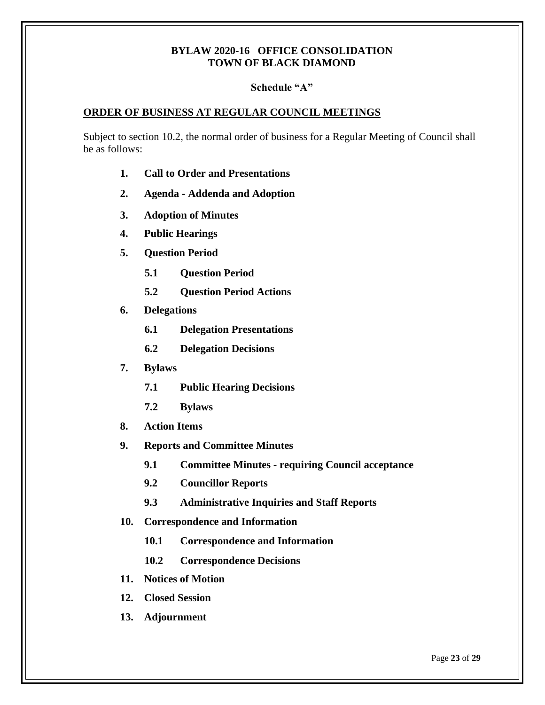#### **Schedule "A"**

#### <span id="page-24-0"></span>**ORDER OF BUSINESS AT REGULAR COUNCIL MEETINGS**

Subject to section 10.2, the normal order of business for a Regular Meeting of Council shall be as follows:

- **1. Call to Order and Presentations**
- **2. Agenda - Addenda and Adoption**
- **3. Adoption of Minutes**
- **4. Public Hearings**
- **5. Question Period**
	- **5.1 Question Period**
	- **5.2 Question Period Actions**
- **6. Delegations**
	- **6.1 Delegation Presentations**
	- **6.2 Delegation Decisions**
- **7. Bylaws**
	- **7.1 Public Hearing Decisions**
	- **7.2 Bylaws**
- **8. Action Items**
- **9. Reports and Committee Minutes**
	- **9.1 Committee Minutes - requiring Council acceptance**
	- **9.2 Councillor Reports**
	- **9.3 Administrative Inquiries and Staff Reports**
- **10. Correspondence and Information**
	- **10.1 Correspondence and Information**
	- **10.2 Correspondence Decisions**
- **11. Notices of Motion**
- **12. Closed Session**
- **13. Adjournment**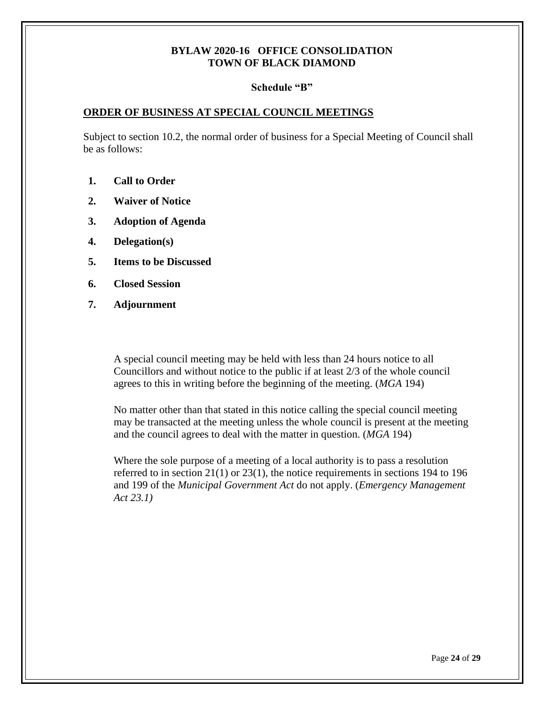#### **Schedule "B"**

#### <span id="page-25-0"></span>**ORDER OF BUSINESS AT SPECIAL COUNCIL MEETINGS**

Subject to section 10.2, the normal order of business for a Special Meeting of Council shall be as follows:

- **1. Call to Order**
- **2. Waiver of Notice**
- **3. Adoption of Agenda**
- **4. Delegation(s)**
- **5. Items to be Discussed**
- **6. Closed Session**
- **7. Adjournment**

A special council meeting may be held with less than 24 hours notice to all Councillors and without notice to the public if at least 2/3 of the whole council agrees to this in writing before the beginning of the meeting. (*MGA* 194)

No matter other than that stated in this notice calling the special council meeting may be transacted at the meeting unless the whole council is present at the meeting and the council agrees to deal with the matter in question. (*MGA* 194)

Where the sole purpose of a meeting of a local authority is to pass a resolution referred to in section 21(1) or 23(1), the notice requirements in sections 194 to 196 and 199 of the *Municipal Government Act* do not apply. (*Emergency Management Act 23.1)*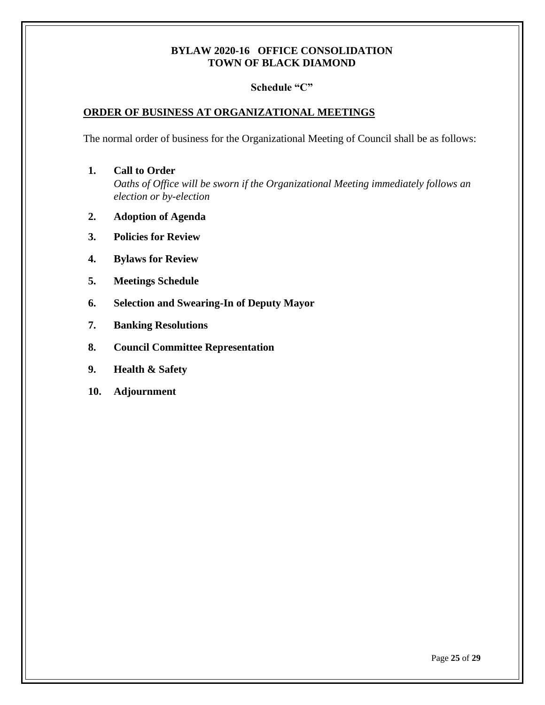#### **Schedule "C"**

#### <span id="page-26-0"></span>**ORDER OF BUSINESS AT ORGANIZATIONAL MEETINGS**

The normal order of business for the Organizational Meeting of Council shall be as follows:

- **1. Call to Order** *Oaths of Office will be sworn if the Organizational Meeting immediately follows an election or by-election*
- **2. Adoption of Agenda**
- **3. Policies for Review**
- **4. Bylaws for Review**
- **5. Meetings Schedule**
- **6. Selection and Swearing-In of Deputy Mayor**
- **7. Banking Resolutions**
- **8. Council Committee Representation**
- **9. Health & Safety**
- **10. Adjournment**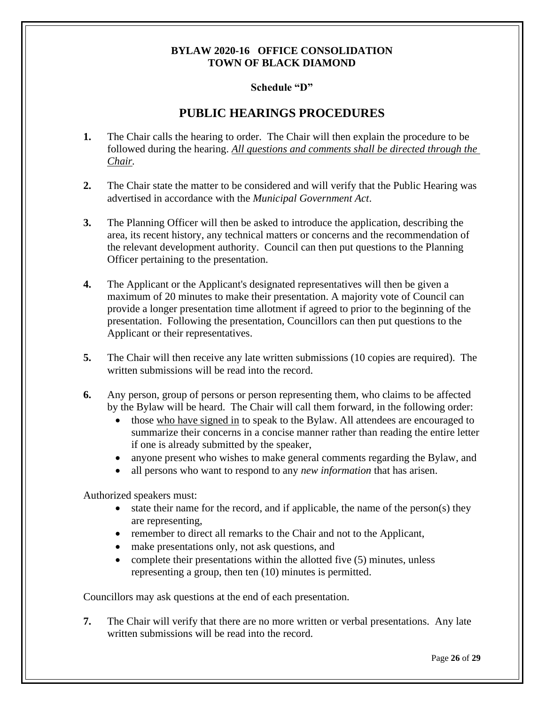#### **Schedule "D"**

## **PUBLIC HEARINGS PROCEDURES**

- <span id="page-27-0"></span>**1.** The Chair calls the hearing to order. The Chair will then explain the procedure to be followed during the hearing. *All questions and comments shall be directed through the Chair.*
- **2.** The Chair state the matter to be considered and will verify that the Public Hearing was advertised in accordance with the *Municipal Government Act*.
- **3.** The Planning Officer will then be asked to introduce the application, describing the area, its recent history, any technical matters or concerns and the recommendation of the relevant development authority. Council can then put questions to the Planning Officer pertaining to the presentation.
- **4.** The Applicant or the Applicant's designated representatives will then be given a maximum of 20 minutes to make their presentation. A majority vote of Council can provide a longer presentation time allotment if agreed to prior to the beginning of the presentation. Following the presentation, Councillors can then put questions to the Applicant or their representatives.
- **5.** The Chair will then receive any late written submissions (10 copies are required). The written submissions will be read into the record.
- **6.** Any person, group of persons or person representing them, who claims to be affected by the Bylaw will be heard. The Chair will call them forward, in the following order:
	- those who have signed in to speak to the Bylaw. All attendees are encouraged to summarize their concerns in a concise manner rather than reading the entire letter if one is already submitted by the speaker,
	- anyone present who wishes to make general comments regarding the Bylaw, and
	- all persons who want to respond to any *new information* that has arisen.

Authorized speakers must:

- state their name for the record, and if applicable, the name of the person(s) they are representing,
- remember to direct all remarks to the Chair and not to the Applicant,
- make presentations only, not ask questions, and
- complete their presentations within the allotted five (5) minutes, unless representing a group, then ten (10) minutes is permitted.

Councillors may ask questions at the end of each presentation.

**7.** The Chair will verify that there are no more written or verbal presentations. Any late written submissions will be read into the record.